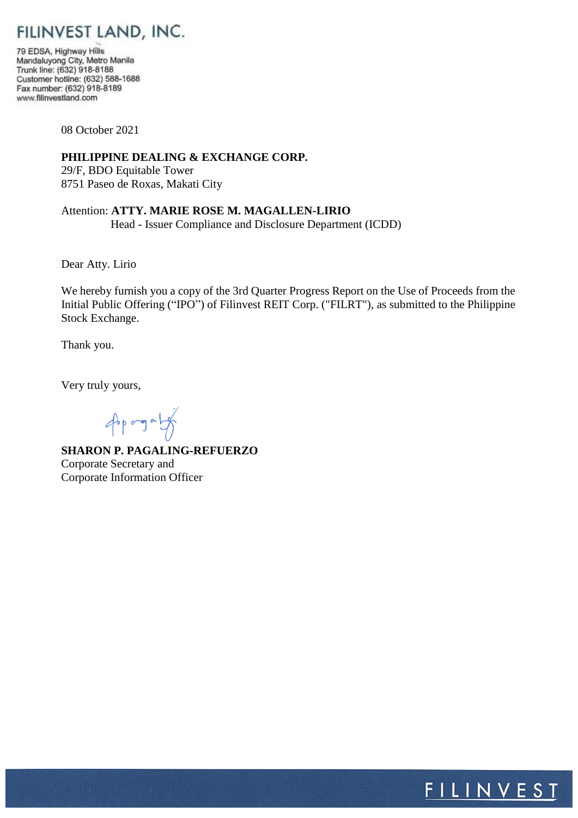FILINVEST LAND, INC.

79 EDSA, Highway Hills Mandaluyong City, Metro Manila Trunk line: (632) 918-8188 Customer hotline: (632) 588-1688 Fax number: (632) 918-8189 www.filinvestland.com

08 October 2021

### **PHILIPPINE DEALING & EXCHANGE CORP.**

29/F, BDO Equitable Tower 8751 Paseo de Roxas, Makati City

### Attention: **ATTY. MARIE ROSE M. MAGALLEN-LIRIO**

Head - Issuer Compliance and Disclosure Department (ICDD)

Dear Atty. Lirio

We hereby furnish you a copy of the 3rd Quarter Progress Report on the Use of Proceeds from the Initial Public Offering ("IPO") of Filinvest REIT Corp. ("FILRT"), as submitted to the Philippine Stock Exchange.

Thank you.

Very truly yours,

opporgaly

**SHARON P. PAGALING-REFUERZO** Corporate Secretary and Corporate Information Officer

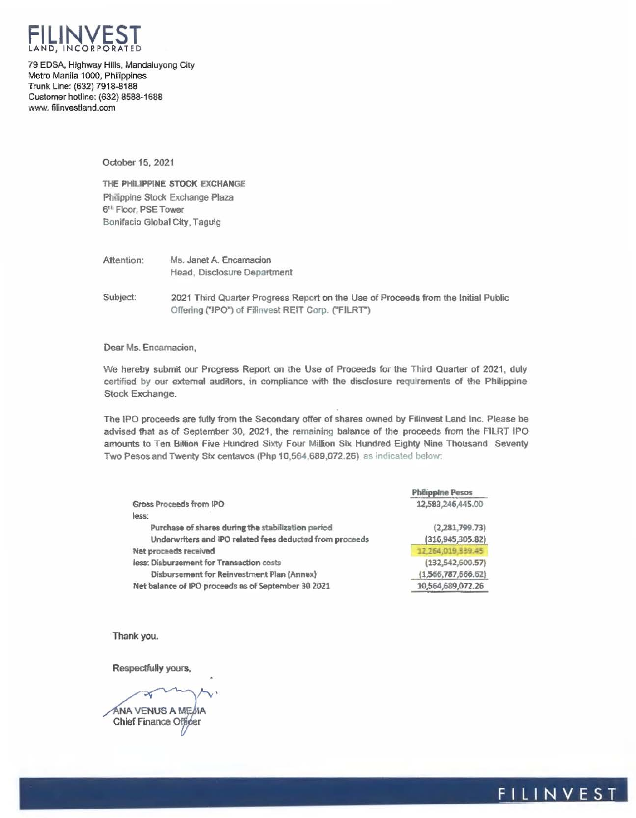

79 EDSA, Highway Hills, Mandaluyong City Metro Manila 1000, Philippines Trunk Line: (632) 7918-8188 Customer hotline: (632) 8588-1688 www. filinvestland.com

October 15, 2021

THE PHILIPPINE STOCK EXCHANGE Philippine Stock Exchange Plaza 6<sup>th</sup> Floor, PSE Tower Bonifacio Global City, Taguig

Ms. Janet A. Encamacion Attention: Head, Disclosure Department

Subject: 2021 Third Quarter Progress Report on the Use of Proceeds from the Initial Public Offering ("IPO") of Filinvest REIT Corp. ("FILRT")

Dear Ms. Encarnacion,

We hereby submit our Progress Report on the Use of Proceeds for the Third Quarter of 2021, duly certified by our external auditors, in compliance with the disclosure requirements of the Philippine Stock Exchange.

The IPO proceeds are fully from the Secondary offer of shares owned by Filinvest Land Inc. Please be advised that as of September 30, 2021, the remaining balance of the proceeds from the FILRT IPO amounts to Ten Billion Five Hundred Sixty Four Million Six Hundred Eighty Nine Thousand Seventy Two Pesos and Twenty Six centavos (Php 10,564,689,072.26) as indicated below:

|                                                          | <b>Philippine Pesos</b> |
|----------------------------------------------------------|-------------------------|
| Gross Proceeds from IPO                                  | 12,583,246,445.00       |
| less:                                                    |                         |
| Purchase of shares during the stabilization period       | (2,281,799.73)          |
| Underwriters and IPO related fees deducted from proceeds | (316, 945, 305.82)      |
| Net proceeds received                                    | 17.264,019.339.45       |
| less: Disbursement for Transaction costs                 | (132, 542, 600.57)      |
| Disbursement for Reinvestment Plan (Annex)               | (1,566,787,666,62)      |
| Net balance of IPO proceeds as of September 30 2021      | 10,564,689,072.26       |
|                                                          |                         |

Thank you.

Respectfully yours,

ÁNA VENUS A MEJIA Chief Finance Officer

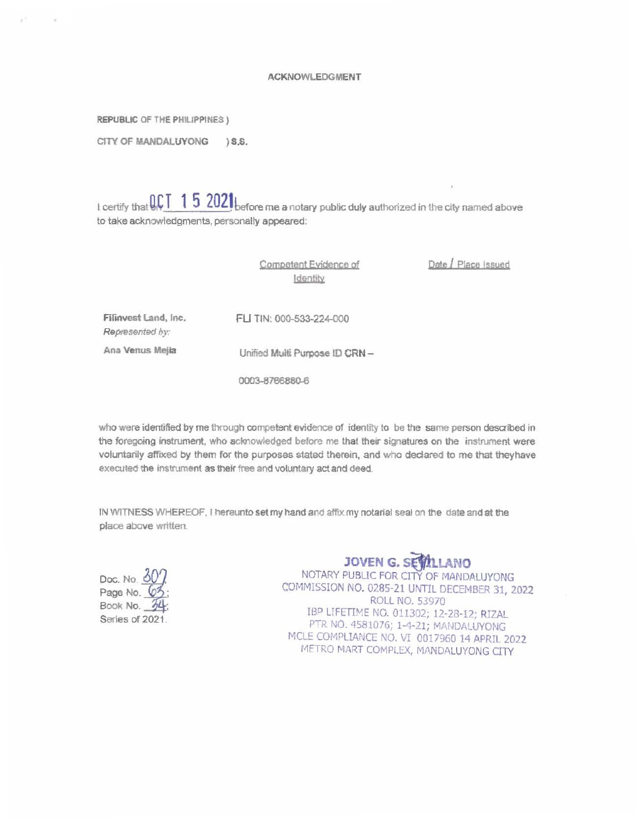#### **ACKNOWLEDGMENT**

REPUBLIC OF THE PHILIPPINES)

CITY OF MANDALUYONG  $\S$ . S.

I certify that  $\mathbb{QCT}$  15 2021 before me a notary public duly authorized in the city named above to take acknowledgments, personally appeared:

> Competent Evidence of Identity

Unified Multi Purpose ID CRN -

Date / Place Issued

Filinvest Land, Inc. Represented by:

FLI TIN: 000-533-224-000

Ana Venus Mejia

0003-8766880-6

who were identified by me through competent evidence of identity to be the same person described in the foregoing instrument, who acknowledged before me that their signatures on the instrument were voluntarily affixed by them for the purposes stated therein, and who declared to me that they have executed the instrument as their free and voluntary act and deed.

IN WITNESS WHEREOF, I hereunto set my hand and affix my notarial seal on the date and at the place above written.

Doc. No. 60 Page No. 69 Book No. 3L Series of 2021.

# **JOVEN G. SEVELLANO**

NOTARY PUBLIC FOR CITY OF MANDALUYONG COMMISSION NO. 0285-21 UNTIL DECEMBER 31, 2022 ROLL NO. 53970 IBP LIFETIME NO. 011302; 12-28-12; RIZAL PTR NO. 4581076; 1-4-21; MANDALUYONG MCLE COMPLIANCE NO. VI 0017960 14 APRIL 2022 METRO MART COMPLEX, MANDALUYONG CITY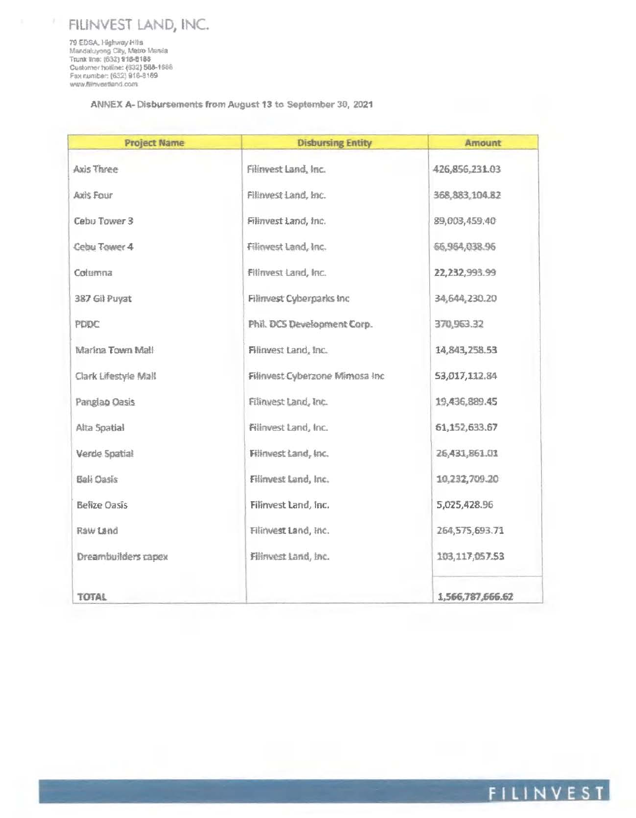# FILINVEST LAND, INC.

79 EDSA, Highway Hills<br>Mandaluyong City, Metro Mania<br>Trunk lins: (632) 918-8188 Customer holline: (632) 588-1688<br>Fax number: (632) 918-8189 www.filinvestland.com

ÿ.

ANNEX A-Disbursements from August 13 to September 30, 2021

| <b>Project Name</b>  | <b>Disbursing Entity</b>        | Amount           |
|----------------------|---------------------------------|------------------|
| Axis Three           | Filinvest Land, Inc.            | 426,856,231.03   |
| <b>Axis Four</b>     | Filinvest Land, Inc.            | 368, 883, 104.82 |
| Cebu Tower 3         | Filinvest Land, Inc.            | 89,003,459.40    |
| Cebu Tower 4         | Filinvest Land, Inc.            | 66,964,038.96    |
| Columna              | Filinvest Land, Inc.            | 22,232,993.99    |
| 387 Gil Puyat        | Filinvest Cyberparks Inc        | 34,644,230.20    |
| PDDC                 | Phil. DCS Development Corp.     | 370,963.32       |
| Marina Town Mall     | Filinvest Land, Inc.            | 14,843,258.53    |
| Clark Lifestyle Mall | Filinvest Cyberzone Mimosa Inc. | 53,017,112.84    |
| Panglao Oasis        | Filinvest Land, Inc.            | 19,436,889.45    |
| Alta Spatial         | Filinvest Land, Inc.            | 61,152,633.67    |
| Verde Spatial        | Filinvest Land, Inc.            | 26,431,861.01    |
| Bali Oasis           | Filinvest Land, Inc.            | 10,232,709.20    |
| <b>Belize Oasis</b>  | Filinvest Land, Inc.            | 5,025,428.96     |
| Raw Land             | Filinvest Land, Inc.            | 264,575,693.71   |
| Dreambuilders capex  | Filinvest Land, Inc.            | 103,117,057.53   |
| TOTAL                |                                 | 1,566,787,666.62 |

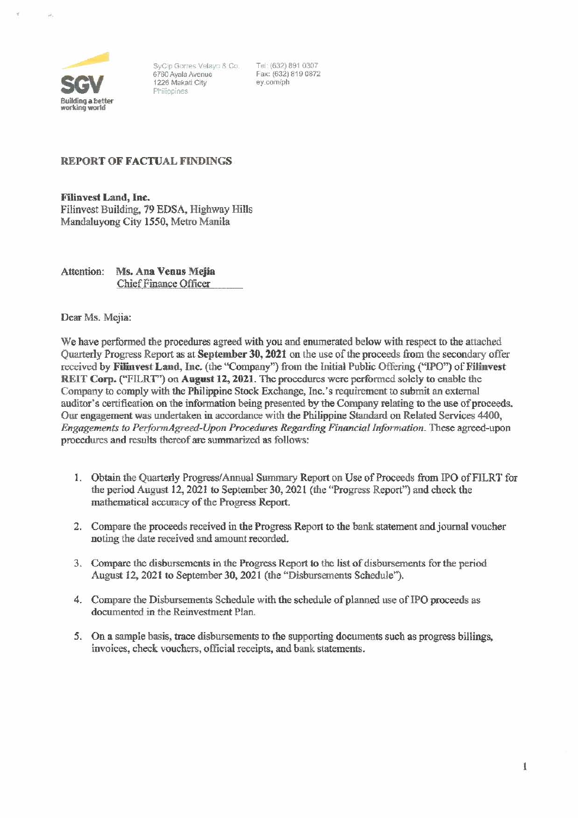

SyCip Gorres Velayo & Co. 6760 Ayala Avenue 1225 Makati City Philippines

Tel: {632) 8910307 Fax: (632) 819 0872 ey.comfph

### REPORT OF FACTUAL FINDINGS

Filiavest Land, Inc. Filinvest Building, 79 EDSA, Highway Hills Mandaluyong City 1550, Metro Manila

Attention: Ms. Ana Venus Mejia Chief Finance Officer

Dear Ms. Mejia:

We have performed the procedures agreed with you and enumerated below with respect to the attached Quarterly Progress Report as at September 30, 2021 on the use of the proceeds from the secondary offer received by Filinvest Land, Inc. (the "Company") from the Initial Public Offering ("IPO") of Filinvest REIT Corp. ("FILRT") on August 12, 2021. The procedures were performed solely to enable the Company to comply with the Philippine Stock Exchange, Inc.'s requirement to submit an external auditor's certification on the information being presented by the Company relating to the use of proceeds. Our engagement was undertaken in accordance with the Philippine Standard on Related Services 4400, *Engagements to Perj'ormAgreed-Upon Procedures Regarding Financial Information.* These agreed-upon procedures and results thereof are summarized as follows:

- 1. Obtain the Quarterly Progress/Annual Summary Report on Use of Proceeds from !PO ofFILRT for the period August 12, 2021 to September 30, 2021 (the "Progress Reporf') and check the mathematical accuracy of the Progress Report.
- 2. Compare the proceeds received in the Progress Report to the bank statement and journal voucher noting the date received and amount recorded.
- 3. Compare the disbursements in the Progress Report to the list of disbursements for the period August 12, 2021 to September 30, 2021 (the "Disbursements Schedule").
- 4. Compare the Disbursements Schedule with the schedule of planned use of IPO proceeds as documented in the Reinvestment Pian.
- 5. On a sample basis. trace disbursements to the supporting documents such as progress billings. invoices, check vouchers, official receipts, and bank statements.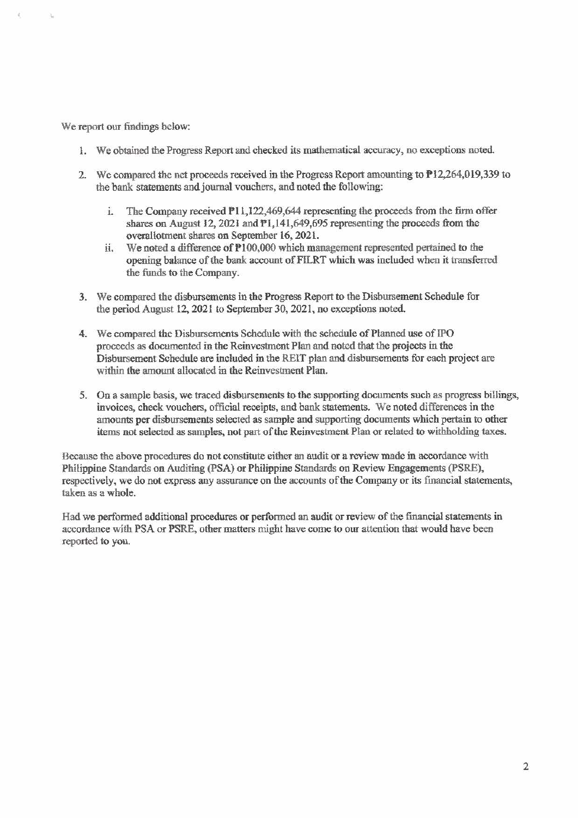We report our findings below:

- 1. We obtained the Progress Report and checked its mathematical accuracy, no exceptions noted
- 2. We compared the net proceeds received in the Progress Report amounting to  $P12,264,019,339$  to the bank statements and journal vouchers, and noted the following:
	- i. The Company received  $P11,122,469,644$  representing the proceeds from the firm offer shares on August 12, 2021 and  $P1,141,649,695$  representing the proceeds from the overa1lotment shares on September 16, 202l.
	- ii. We noted a difference of  $P100,000$  which management represented pertained to the opening balance of the bank account of FILRT which was included when it transferred the funds to the Company.
- 3. We compared the disbursements in the Progress Report to the Disbursement Schedule for the period August 12, 2021 to September 30,2021, no exceptions noted.
- 4. We compared the Disbursements Schedule with the schedule of Planned use of IPO proceeds as documented in the Reinvestment Plan and noted that the projects in the Disbursement Schedule are included in the REIT plan and disbursements for each project are within the amount allocated in the Reinvestment Plan.
- 5. On a sample basis, we traced disbursements to the supporting documents such as progress billings, invoices, check vouchers, official receipts, and bank statements. We noted differences in the amounts per disbursements selected as sample and supporting documents which pertain to other items not selected as samples, not part of the Reinvestment Plan or related to withholding taxes.

Because the above procedures do not constitute either an audit or a review made in accordance with Philippine Standards on Auditing (PSA) or Philippine Standards on Review Engagements (PSRE), respectively, we do not express any assurance on the accounts of the Company or its fmancial statements, taken as a whole.

Had we performed additional procedures or performed an audit or review of the financial statements in accordance with PSA or PSRE, other matters might have come to our attention that would have been reported to you.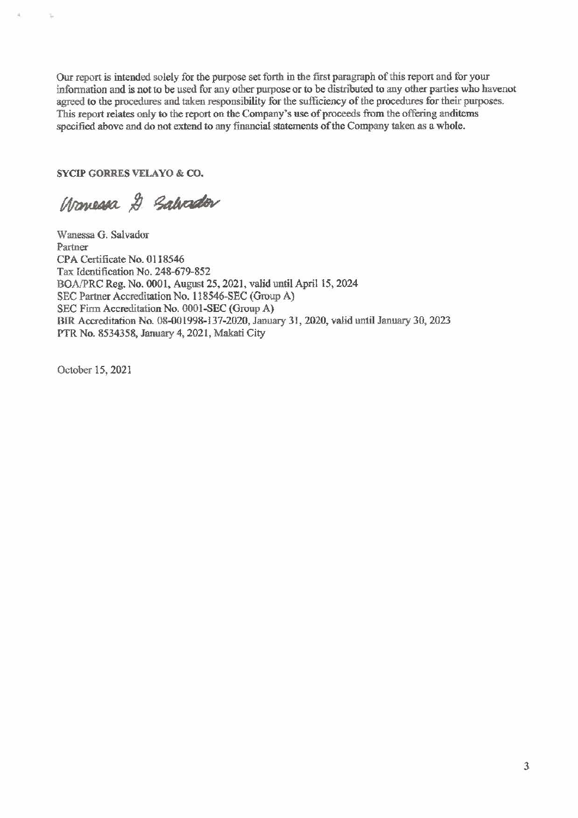**Our report is intended solely for the purpose set forth in the first paragraph** of this **report and for your infonnation and is not to be used for any other pmpose or to be distributed to any other parties who havenot**  agreed to the procedures and taken responsibility for the sufficiency of the procedures for their purposes. This report relates only to the report on the Company's use of proceeds from the offering anditems **specified above and do not extend to any financial statements** of the **Company taken as a whole.** 

SYCIP GORRES VELAYO & CO.

•

Ÿ.

Warreson & Salvador

**Wanessa G. Salvador**  Partner CPA Certificate No. 0118546 Tax Identification No. 248-679-852 BOAJPRC Reg. No. 0001, August 25, 2021, valid until April 15,2024 SEC Partner Accreditation No. 118546-SEC (Group A) SEC Finn Accreditation No. OOOI-SEC (Group A) B1R Accreditation No. 08-001998-137-2020, January 31, 2020, valid until January 30, 2023 PTR No. 8534358, January 4, 2021, Makati City

October 15, 2021